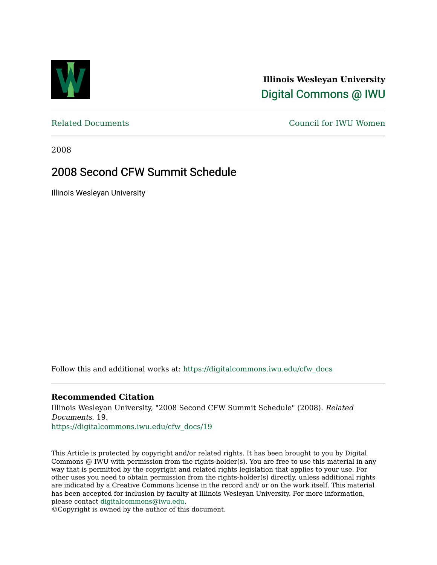

**Illinois Wesleyan University**  [Digital Commons @ IWU](https://digitalcommons.iwu.edu/) 

[Related Documents](https://digitalcommons.iwu.edu/cfw_docs) [Council for IWU Women](https://digitalcommons.iwu.edu/alumni_cfw) 

2008

## 2008 Second CFW Summit Schedule

Illinois Wesleyan University

Follow this and additional works at: [https://digitalcommons.iwu.edu/cfw\\_docs](https://digitalcommons.iwu.edu/cfw_docs?utm_source=digitalcommons.iwu.edu%2Fcfw_docs%2F19&utm_medium=PDF&utm_campaign=PDFCoverPages) 

### **Recommended Citation**

Illinois Wesleyan University, "2008 Second CFW Summit Schedule" (2008). Related Documents. 19.

[https://digitalcommons.iwu.edu/cfw\\_docs/19](https://digitalcommons.iwu.edu/cfw_docs/19?utm_source=digitalcommons.iwu.edu%2Fcfw_docs%2F19&utm_medium=PDF&utm_campaign=PDFCoverPages)

This Article is protected by copyright and/or related rights. It has been brought to you by Digital Commons @ IWU with permission from the rights-holder(s). You are free to use this material in any way that is permitted by the copyright and related rights legislation that applies to your use. For other uses you need to obtain permission from the rights-holder(s) directly, unless additional rights are indicated by a Creative Commons license in the record and/ or on the work itself. This material has been accepted for inclusion by faculty at Illinois Wesleyan University. For more information, please contact [digitalcommons@iwu.edu.](mailto:digitalcommons@iwu.edu)

©Copyright is owned by the author of this document.